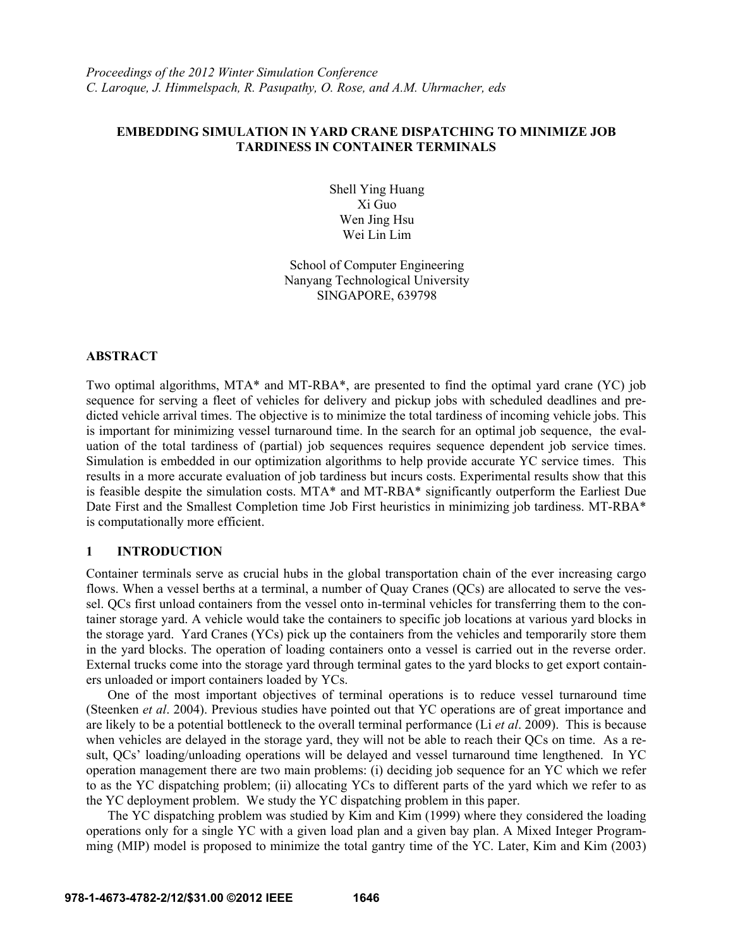### **EMBEDDING SIMULATION IN YARD CRANE DISPATCHING TO MINIMIZE JOB TARDINESS IN CONTAINER TERMINALS**

Shell Ying Huang Xi Guo Wen Jing Hsu Wei Lin Lim

School of Computer Engineering Nanyang Technological University SINGAPORE, 639798

## **ABSTRACT**

Two optimal algorithms, MTA\* and MT-RBA\*, are presented to find the optimal yard crane (YC) job sequence for serving a fleet of vehicles for delivery and pickup jobs with scheduled deadlines and predicted vehicle arrival times. The objective is to minimize the total tardiness of incoming vehicle jobs. This is important for minimizing vessel turnaround time. In the search for an optimal job sequence, the evaluation of the total tardiness of (partial) job sequences requires sequence dependent job service times. Simulation is embedded in our optimization algorithms to help provide accurate YC service times. This results in a more accurate evaluation of job tardiness but incurs costs. Experimental results show that this is feasible despite the simulation costs. MTA\* and MT-RBA\* significantly outperform the Earliest Due Date First and the Smallest Completion time Job First heuristics in minimizing job tardiness. MT-RBA\* is computationally more efficient.

## **1 INTRODUCTION**

Container terminals serve as crucial hubs in the global transportation chain of the ever increasing cargo flows. When a vessel berths at a terminal, a number of Quay Cranes (QCs) are allocated to serve the vessel. QCs first unload containers from the vessel onto in-terminal vehicles for transferring them to the container storage yard. A vehicle would take the containers to specific job locations at various yard blocks in the storage yard. Yard Cranes (YCs) pick up the containers from the vehicles and temporarily store them in the yard blocks. The operation of loading containers onto a vessel is carried out in the reverse order. External trucks come into the storage yard through terminal gates to the yard blocks to get export containers unloaded or import containers loaded by YCs.

One of the most important objectives of terminal operations is to reduce vessel turnaround time (Steenken *et al*. 2004). Previous studies have pointed out that YC operations are of great importance and are likely to be a potential bottleneck to the overall terminal performance (Li *et al*. 2009). This is because when vehicles are delayed in the storage yard, they will not be able to reach their QCs on time. As a result, QCs' loading/unloading operations will be delayed and vessel turnaround time lengthened. In YC operation management there are two main problems: (i) deciding job sequence for an YC which we refer to as the YC dispatching problem; (ii) allocating YCs to different parts of the yard which we refer to as the YC deployment problem. We study the YC dispatching problem in this paper.

The YC dispatching problem was studied by Kim and Kim (1999) where they considered the loading operations only for a single YC with a given load plan and a given bay plan. A Mixed Integer Programming (MIP) model is proposed to minimize the total gantry time of the YC. Later, Kim and Kim (2003)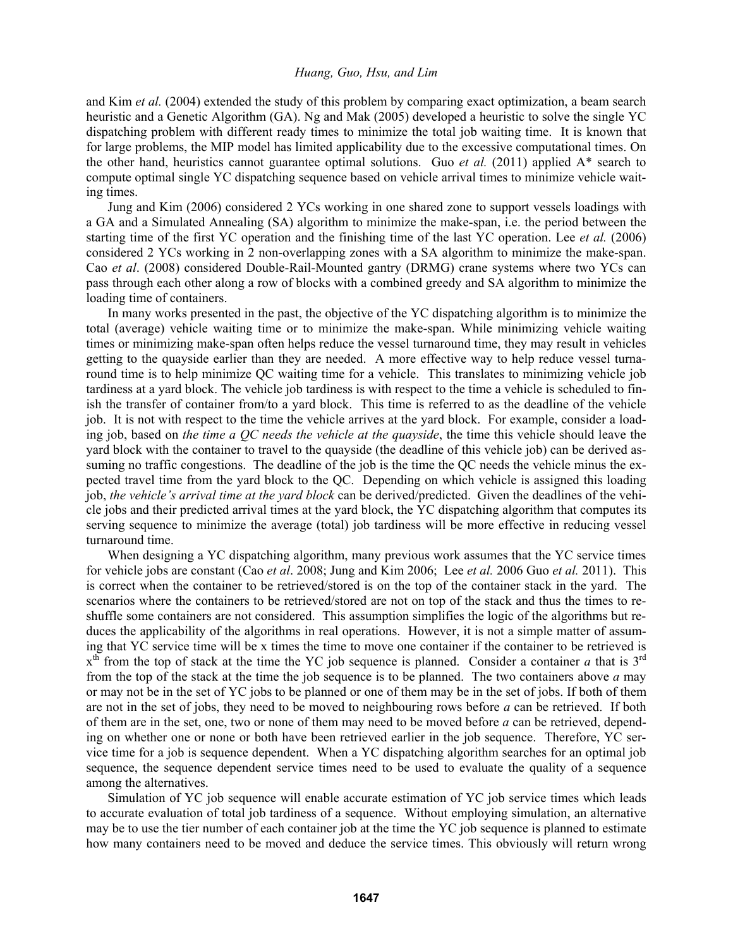and Kim *et al.* (2004) extended the study of this problem by comparing exact optimization, a beam search heuristic and a Genetic Algorithm (GA). Ng and Mak (2005) developed a heuristic to solve the single YC dispatching problem with different ready times to minimize the total job waiting time. It is known that for large problems, the MIP model has limited applicability due to the excessive computational times. On the other hand, heuristics cannot guarantee optimal solutions. Guo *et al.* (2011) applied A\* search to compute optimal single YC dispatching sequence based on vehicle arrival times to minimize vehicle waiting times.

Jung and Kim (2006) considered 2 YCs working in one shared zone to support vessels loadings with a GA and a Simulated Annealing (SA) algorithm to minimize the make-span, i.e. the period between the starting time of the first YC operation and the finishing time of the last YC operation. Lee *et al.* (2006) considered 2 YCs working in 2 non-overlapping zones with a SA algorithm to minimize the make-span. Cao *et al*. (2008) considered Double-Rail-Mounted gantry (DRMG) crane systems where two YCs can pass through each other along a row of blocks with a combined greedy and SA algorithm to minimize the loading time of containers.

In many works presented in the past, the objective of the YC dispatching algorithm is to minimize the total (average) vehicle waiting time or to minimize the make-span. While minimizing vehicle waiting times or minimizing make-span often helps reduce the vessel turnaround time, they may result in vehicles getting to the quayside earlier than they are needed. A more effective way to help reduce vessel turnaround time is to help minimize QC waiting time for a vehicle. This translates to minimizing vehicle job tardiness at a yard block. The vehicle job tardiness is with respect to the time a vehicle is scheduled to finish the transfer of container from/to a yard block. This time is referred to as the deadline of the vehicle job. It is not with respect to the time the vehicle arrives at the yard block. For example, consider a loading job, based on *the time a QC needs the vehicle at the quayside*, the time this vehicle should leave the yard block with the container to travel to the quayside (the deadline of this vehicle job) can be derived assuming no traffic congestions. The deadline of the job is the time the QC needs the vehicle minus the expected travel time from the yard block to the QC. Depending on which vehicle is assigned this loading job, *the vehicle's arrival time at the yard block* can be derived/predicted. Given the deadlines of the vehicle jobs and their predicted arrival times at the yard block, the YC dispatching algorithm that computes its serving sequence to minimize the average (total) job tardiness will be more effective in reducing vessel turnaround time.

When designing a YC dispatching algorithm, many previous work assumes that the YC service times for vehicle jobs are constant (Cao *et al*. 2008; Jung and Kim 2006; Lee *et al.* 2006 Guo *et al.* 2011). This is correct when the container to be retrieved/stored is on the top of the container stack in the yard. The scenarios where the containers to be retrieved/stored are not on top of the stack and thus the times to reshuffle some containers are not considered. This assumption simplifies the logic of the algorithms but reduces the applicability of the algorithms in real operations. However, it is not a simple matter of assuming that YC service time will be x times the time to move one container if the container to be retrieved is  $x<sup>th</sup>$  from the top of stack at the time the YC job sequence is planned. Consider a container *a* that is 3<sup>rd</sup> from the top of the stack at the time the job sequence is to be planned. The two containers above *a* may or may not be in the set of YC jobs to be planned or one of them may be in the set of jobs. If both of them are not in the set of jobs, they need to be moved to neighbouring rows before *a* can be retrieved. If both of them are in the set, one, two or none of them may need to be moved before *a* can be retrieved, depending on whether one or none or both have been retrieved earlier in the job sequence. Therefore, YC service time for a job is sequence dependent. When a YC dispatching algorithm searches for an optimal job sequence, the sequence dependent service times need to be used to evaluate the quality of a sequence among the alternatives.

Simulation of YC job sequence will enable accurate estimation of YC job service times which leads to accurate evaluation of total job tardiness of a sequence. Without employing simulation, an alternative may be to use the tier number of each container job at the time the YC job sequence is planned to estimate how many containers need to be moved and deduce the service times. This obviously will return wrong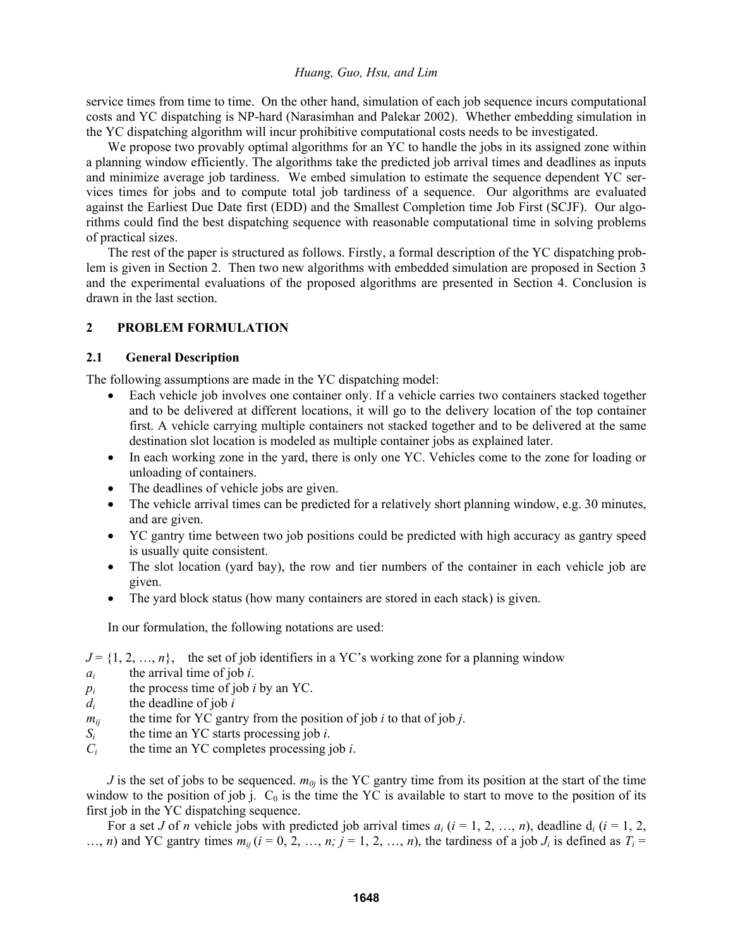service times from time to time. On the other hand, simulation of each job sequence incurs computational costs and YC dispatching is NP-hard (Narasimhan and Palekar 2002). Whether embedding simulation in the YC dispatching algorithm will incur prohibitive computational costs needs to be investigated.

We propose two provably optimal algorithms for an YC to handle the jobs in its assigned zone within a planning window efficiently. The algorithms take the predicted job arrival times and deadlines as inputs and minimize average job tardiness. We embed simulation to estimate the sequence dependent YC services times for jobs and to compute total job tardiness of a sequence. Our algorithms are evaluated against the Earliest Due Date first (EDD) and the Smallest Completion time Job First (SCJF). Our algorithms could find the best dispatching sequence with reasonable computational time in solving problems of practical sizes.

The rest of the paper is structured as follows. Firstly, a formal description of the YC dispatching problem is given in Section 2. Then two new algorithms with embedded simulation are proposed in Section 3 and the experimental evaluations of the proposed algorithms are presented in Section 4. Conclusion is drawn in the last section.

### **2 PROBLEM FORMULATION**

#### **2.1 General Description**

The following assumptions are made in the YC dispatching model:

- Each vehicle job involves one container only. If a vehicle carries two containers stacked together and to be delivered at different locations, it will go to the delivery location of the top container first. A vehicle carrying multiple containers not stacked together and to be delivered at the same destination slot location is modeled as multiple container jobs as explained later.
- In each working zone in the yard, there is only one YC. Vehicles come to the zone for loading or unloading of containers.
- The deadlines of vehicle jobs are given.
- The vehicle arrival times can be predicted for a relatively short planning window, e.g. 30 minutes, and are given.
- YC gantry time between two job positions could be predicted with high accuracy as gantry speed is usually quite consistent.
- The slot location (yard bay), the row and tier numbers of the container in each vehicle job are given.
- The yard block status (how many containers are stored in each stack) is given.

In our formulation, the following notations are used:

- $J = \{1, 2, ..., n\}$ , the set of job identifiers in a YC's working zone for a planning window
- *ai* the arrival time of job *i*.
- $p_i$  the process time of job *i* by an YC.
- *di* the deadline of job *i*
- $m_{ii}$  the time for YC gantry from the position of job *i* to that of job *j*.
- *Si* the time an YC starts processing job *i*.
- *Ci* the time an YC completes processing job *i*.

*J* is the set of jobs to be sequenced.  $m_{0j}$  is the YC gantry time from its position at the start of the time window to the position of job j.  $C_0$  is the time the YC is available to start to move to the position of its first job in the YC dispatching sequence.

For a set *J* of *n* vehicle jobs with predicted job arrival times  $a_i$  ( $i = 1, 2, ..., n$ ), deadline  $d_i$  ( $i = 1, 2, ...$ )  $..., n$ ) and YC gantry times  $m_{ij}$  ( $i = 0, 2, ..., n; j = 1, 2, ..., n$ ), the tardiness of a job  $J_i$  is defined as  $T_i =$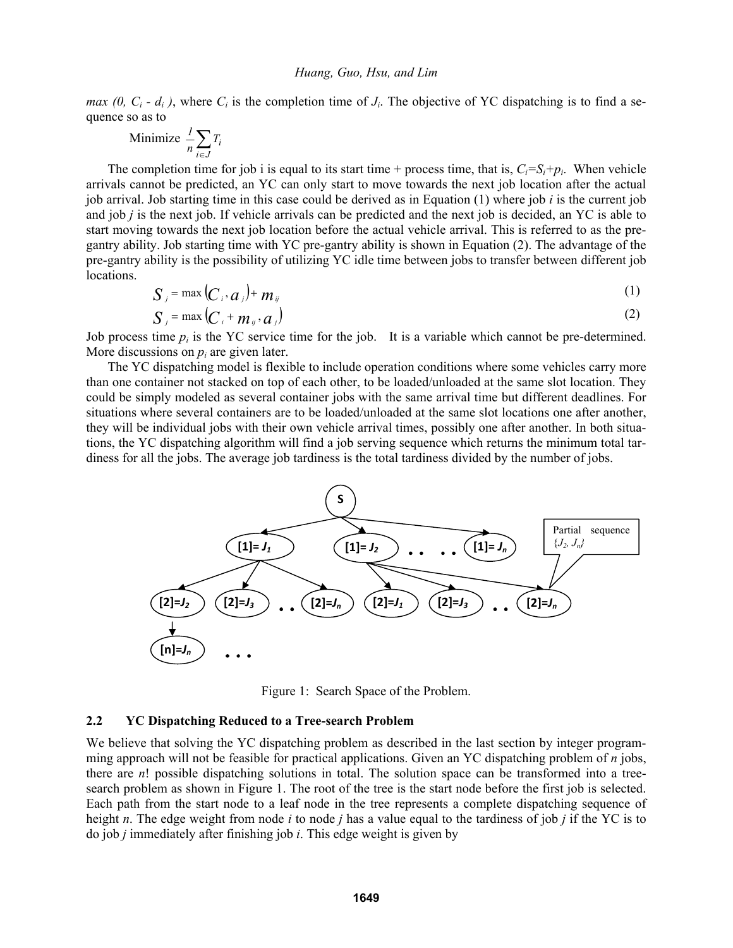*max (0, C<sub>i</sub> - d<sub>i</sub>)*, where *C<sub>i</sub>* is the completion time of  $J_i$ . The objective of YC dispatching is to find a sequence so as to

Minimize 
$$
\frac{I}{n} \sum_{i \in J} T_i
$$

The completion time for job i is equal to its start time + process time, that is,  $C_i = S_i + p_i$ . When vehicle arrivals cannot be predicted, an YC can only start to move towards the next job location after the actual job arrival. Job starting time in this case could be derived as in Equation  $(1)$  where job *i* is the current job and job *j* is the next job. If vehicle arrivals can be predicted and the next job is decided, an YC is able to start moving towards the next job location before the actual vehicle arrival. This is referred to as the pregantry ability. Job starting time with YC pre-gantry ability is shown in Equation (2). The advantage of the pre-gantry ability is the possibility of utilizing YC idle time between jobs to transfer between different job locations.

$$
S_j = \max\left(C_i, \alpha_j\right) + m_{ij} \tag{1}
$$

$$
S_j = \max\left(C_i + m_{ij}, a_j\right) \tag{2}
$$

Job process time  $p_i$  is the YC service time for the job. It is a variable which cannot be pre-determined. More discussions on  $p_i$  are given later.

The YC dispatching model is flexible to include operation conditions where some vehicles carry more than one container not stacked on top of each other, to be loaded/unloaded at the same slot location. They could be simply modeled as several container jobs with the same arrival time but different deadlines. For situations where several containers are to be loaded/unloaded at the same slot locations one after another, they will be individual jobs with their own vehicle arrival times, possibly one after another. In both situations, the YC dispatching algorithm will find a job serving sequence which returns the minimum total tardiness for all the jobs. The average job tardiness is the total tardiness divided by the number of jobs.



Figure 1: Search Space of the Problem.

### **2.2 YC Dispatching Reduced to a Tree-search Problem**

We believe that solving the YC dispatching problem as described in the last section by integer programming approach will not be feasible for practical applications. Given an YC dispatching problem of *n* jobs, there are *n*! possible dispatching solutions in total. The solution space can be transformed into a treesearch problem as shown in Figure 1. The root of the tree is the start node before the first job is selected. Each path from the start node to a leaf node in the tree represents a complete dispatching sequence of height *n*. The edge weight from node *i* to node *j* has a value equal to the tardiness of job *j* if the YC is to do job *j* immediately after finishing job *i*. This edge weight is given by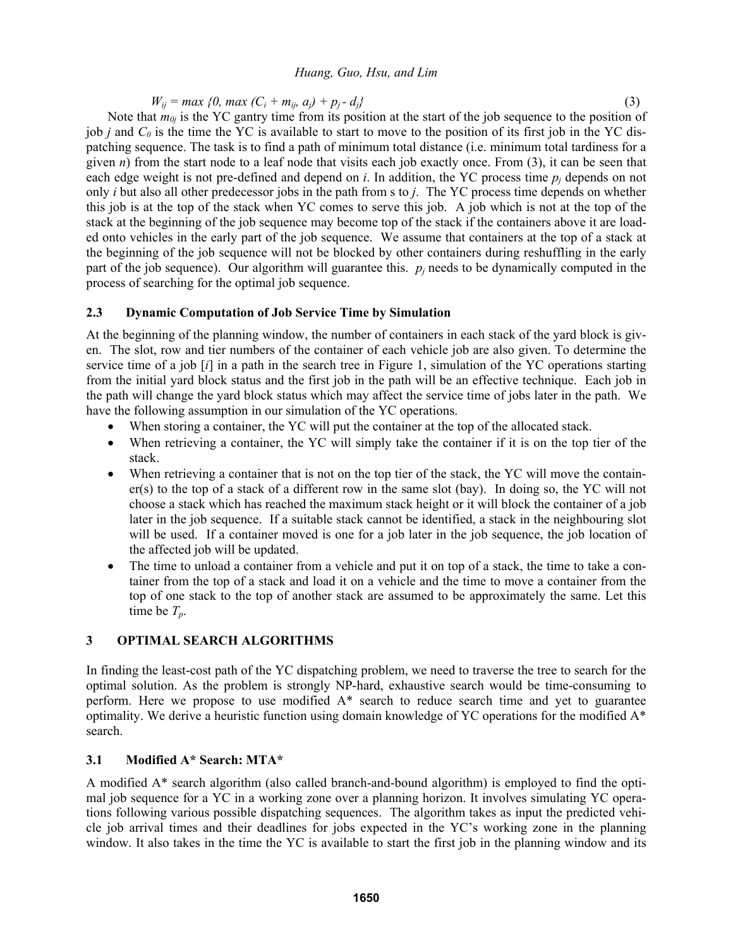$$
W_{ij} = max \{0, max (C_i + m_{ij}, a_j) + p_j - d_j\}
$$
 (3)

Note that  $m_{0j}$  is the YC gantry time from its position at the start of the job sequence to the position of job *j* and  $C_0$  is the time the YC is available to start to move to the position of its first job in the YC dispatching sequence. The task is to find a path of minimum total distance (i.e. minimum total tardiness for a given  $n$ ) from the start node to a leaf node that visits each job exactly once. From  $(3)$ , it can be seen that each edge weight is not pre-defined and depend on *i*. In addition, the YC process time  $p_i$  depends on not only *i* but also all other predecessor jobs in the path from s to *j*. The YC process time depends on whether this job is at the top of the stack when YC comes to serve this job. A job which is not at the top of the stack at the beginning of the job sequence may become top of the stack if the containers above it are loaded onto vehicles in the early part of the job sequence. We assume that containers at the top of a stack at the beginning of the job sequence will not be blocked by other containers during reshuffling in the early part of the job sequence). Our algorithm will guarantee this.  $p_j$  needs to be dynamically computed in the process of searching for the optimal job sequence.

## **2.3 Dynamic Computation of Job Service Time by Simulation**

At the beginning of the planning window, the number of containers in each stack of the yard block is given. The slot, row and tier numbers of the container of each vehicle job are also given. To determine the service time of a job [*i*] in a path in the search tree in Figure 1, simulation of the YC operations starting from the initial yard block status and the first job in the path will be an effective technique. Each job in the path will change the yard block status which may affect the service time of jobs later in the path. We have the following assumption in our simulation of the YC operations.

- When storing a container, the YC will put the container at the top of the allocated stack.
- When retrieving a container, the YC will simply take the container if it is on the top tier of the stack.
- When retrieving a container that is not on the top tier of the stack, the YC will move the contain $er(s)$  to the top of a stack of a different row in the same slot (bay). In doing so, the YC will not choose a stack which has reached the maximum stack height or it will block the container of a job later in the job sequence. If a suitable stack cannot be identified, a stack in the neighbouring slot will be used. If a container moved is one for a job later in the job sequence, the job location of the affected job will be updated.
- The time to unload a container from a vehicle and put it on top of a stack, the time to take a container from the top of a stack and load it on a vehicle and the time to move a container from the top of one stack to the top of another stack are assumed to be approximately the same. Let this time be *Tp*.

# **3 OPTIMAL SEARCH ALGORITHMS**

In finding the least-cost path of the YC dispatching problem, we need to traverse the tree to search for the optimal solution. As the problem is strongly NP-hard, exhaustive search would be time-consuming to perform. Here we propose to use modified  $A^*$  search to reduce search time and yet to guarantee optimality. We derive a heuristic function using domain knowledge of YC operations for the modified A\* search.

## **3.1 Modified A\* Search: MTA\***

A modified A\* search algorithm (also called branch-and-bound algorithm) is employed to find the optimal job sequence for a YC in a working zone over a planning horizon. It involves simulating YC operations following various possible dispatching sequences. The algorithm takes as input the predicted vehicle job arrival times and their deadlines for jobs expected in the YC's working zone in the planning window. It also takes in the time the YC is available to start the first job in the planning window and its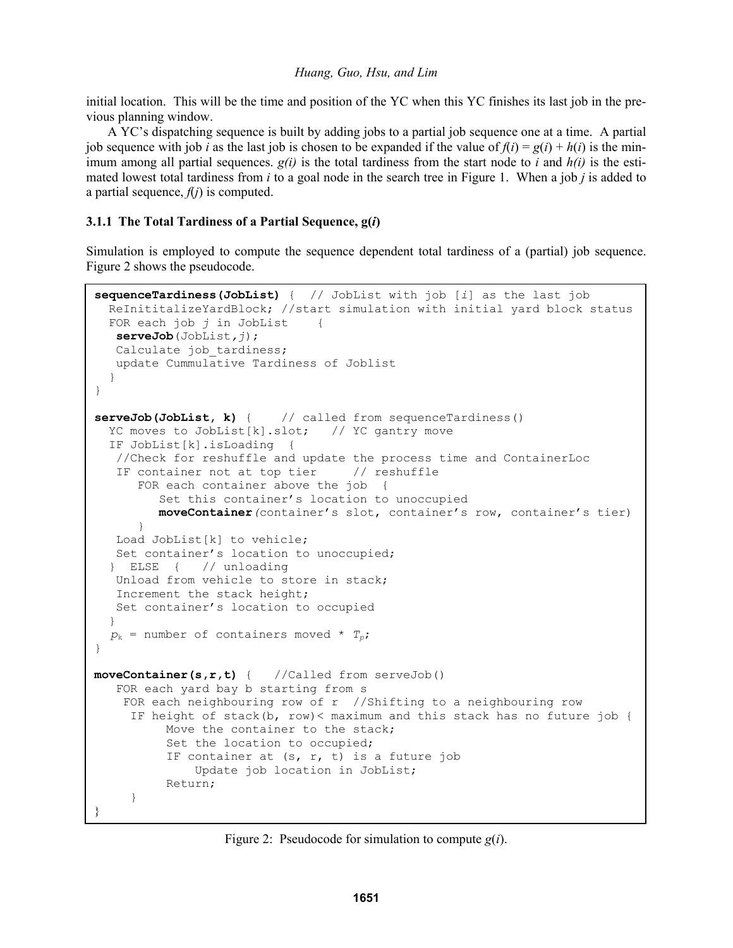initial location. This will be the time and position of the YC when this YC finishes its last job in the previous planning window.

A YC's dispatching sequence is built by adding jobs to a partial job sequence one at a time. A partial job sequence with job *i* as the last job is chosen to be expanded if the value of  $f(i) = g(i) + h(i)$  is the minimum among all partial sequences. *g(i)* is the total tardiness from the start node to *i* and *h(i)* is the estimated lowest total tardiness from *i* to a goal node in the search tree in Figure 1. When a job *j* is added to a partial sequence,  $f(j)$  is computed.

## **3.1.1 The Total Tardiness of a Partial Sequence, g(***i***)**

Simulation is employed to compute the sequence dependent total tardiness of a (partial) job sequence. Figure 2 shows the pseudocode.

```
sequenceTardiness(JobList) { // JobList with job [i] as the last job 
   ReInititalizeYardBlock; //start simulation with initial yard block status 
  FOR each job j in JobList {
   serveJob(JobList,j); 
   Calculate job tardiness;
   update Cummulative Tardiness of Joblist 
   } 
} 
serveJob(JobList, k) { // called from sequenceTardiness()
  YC moves to JobList[k].slot; // YC gantry move
   IF JobList[k].isLoading { 
    //Check for reshuffle and update the process time and ContainerLoc 
    IF container not at top tier // reshuffle 
       FOR each container above the job { 
          Set this container's location to unoccupied 
          moveContainer(container's slot, container's row, container's tier) 
       } 
    Load JobList[k] to vehicle; 
   Set container's location to unoccupied;
   } ELSE { // unloading 
    Unload from vehicle to store in stack; 
    Increment the stack height; 
    Set container's location to occupied 
   } 
  p_k = number of containers moved * T_n;
} 
moveContainer(s,r,t) { //Called from serveJob() 
    FOR each yard bay b starting from s 
     FOR each neighbouring row of r //Shifting to a neighbouring row 
      IF height of stack(b, row)< maximum and this stack has no future job { 
           Move the container to the stack; 
          Set the location to occupied;
          IF container at (s, r, t) is a future job
               Update job location in JobList; 
           Return; 
      } 
}
```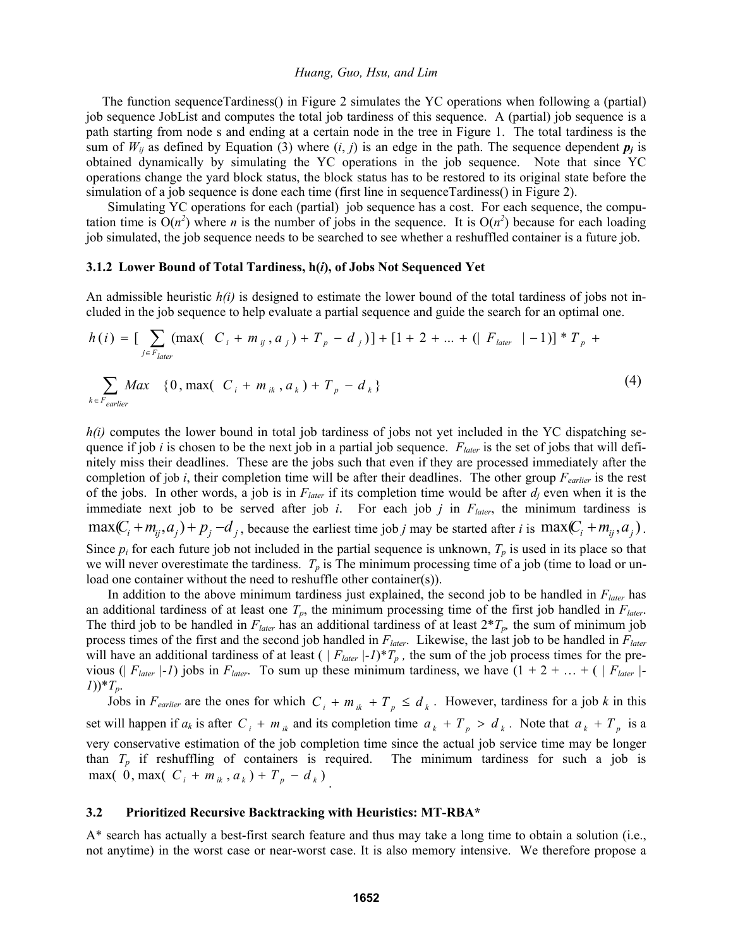The function sequenceTardiness() in Figure 2 simulates the YC operations when following a (partial) job sequence JobList and computes the total job tardiness of this sequence. A (partial) job sequence is a path starting from node s and ending at a certain node in the tree in Figure 1. The total tardiness is the sum of  $W_{ii}$  as defined by Equation (3) where  $(i, j)$  is an edge in the path. The sequence dependent  $p_i$  is obtained dynamically by simulating the YC operations in the job sequence. Note that since YC operations change the yard block status, the block status has to be restored to its original state before the simulation of a job sequence is done each time (first line in sequenceTardiness() in Figure 2).

Simulating YC operations for each (partial) job sequence has a cost. For each sequence, the computation time is  $O(n^2)$  where *n* is the number of jobs in the sequence. It is  $O(n^2)$  because for each loading job simulated, the job sequence needs to be searched to see whether a reshuffled container is a future job.

#### **3.1.2 Lower Bound of Total Tardiness, h(***i***), of Jobs Not Sequenced Yet**

An admissible heuristic *h(i)* is designed to estimate the lower bound of the total tardiness of jobs not included in the job sequence to help evaluate a partial sequence and guide the search for an optimal one.

$$
h(i) = \left[\sum_{j \in F_{later}} (\max(C_i + m_{ij}, a_j) + T_p - d_j)\right] + \left[1 + 2 + \dots + (\mid F_{later} \mid -1)\right] * T_p +
$$
  

$$
\sum_{k \in F_{earlier}} Max \quad \{0, \max(C_i + m_{ik}, a_k) + T_p - d_k\}
$$
 (4)

*h(i)* computes the lower bound in total job tardiness of jobs not yet included in the YC dispatching sequence if job *i* is chosen to be the next job in a partial job sequence.  $F_{\text{later}}$  is the set of jobs that will definitely miss their deadlines. These are the jobs such that even if they are processed immediately after the completion of job *i*, their completion time will be after their deadlines. The other group *Fearlier* is the rest of the jobs. In other words, a job is in  $F_{later}$  if its completion time would be after  $d_i$  even when it is the immediate next job to be served after job *i*. For each job *j* in  $F_{\text{later}}$ , the minimum tardiness is  $\max(C_i + m_i, a_j) + p_j - d_i$ , because the earliest time job *j* may be started after *i* is  $\max(C_i + m_i, a_j)$ . Since  $p_i$  for each future job not included in the partial sequence is unknown,  $T_p$  is used in its place so that we will never overestimate the tardiness.  $T_p$  is The minimum processing time of a job (time to load or unload one container without the need to reshuffle other container(s)).

In addition to the above minimum tardiness just explained, the second job to be handled in *Flater* has an additional tardiness of at least one  $T_p$ , the minimum processing time of the first job handled in  $F_{\text{later}}$ . The third job to be handled in  $F_{later}$  has an additional tardiness of at least  $2 \ast T_p$ , the sum of minimum job process times of the first and the second job handled in *Flater*. Likewise, the last job to be handled in *Flater* will have an additional tardiness of at least  $(|F_{later}|-I)^*T_p$ , the sum of the job process times for the previous ( $|F_{later}|-I$ ) jobs in  $F_{later}$ . To sum up these minimum tardiness, we have  $(1 + 2 + ... + (|F_{later}|-I_{\text{later}}))$  $I)$ <sup>\*</sup> $T_p$ .

Jobs in  $F_{\text{earlier}}$  are the ones for which  $C_i + m_{ik} + T_p \le d_k$ . However, tardiness for a job k in this set will happen if  $a_k$  is after  $C_i + m_k$  and its completion time  $a_k + T_p > d_k$ . Note that  $a_k + T_p$  is a very conservative estimation of the job completion time since the actual job service time may be longer than  $T_p$  if reshuffling of containers is required. The minimum tardiness for such a job is max( 0, max(  $C_i + m_{ik}, a_k$ ) +  $T_p - d_k$ )

#### **3.2 Prioritized Recursive Backtracking with Heuristics: MT-RBA\***

A\* search has actually a best-first search feature and thus may take a long time to obtain a solution (i.e., not anytime) in the worst case or near-worst case. It is also memory intensive. We therefore propose a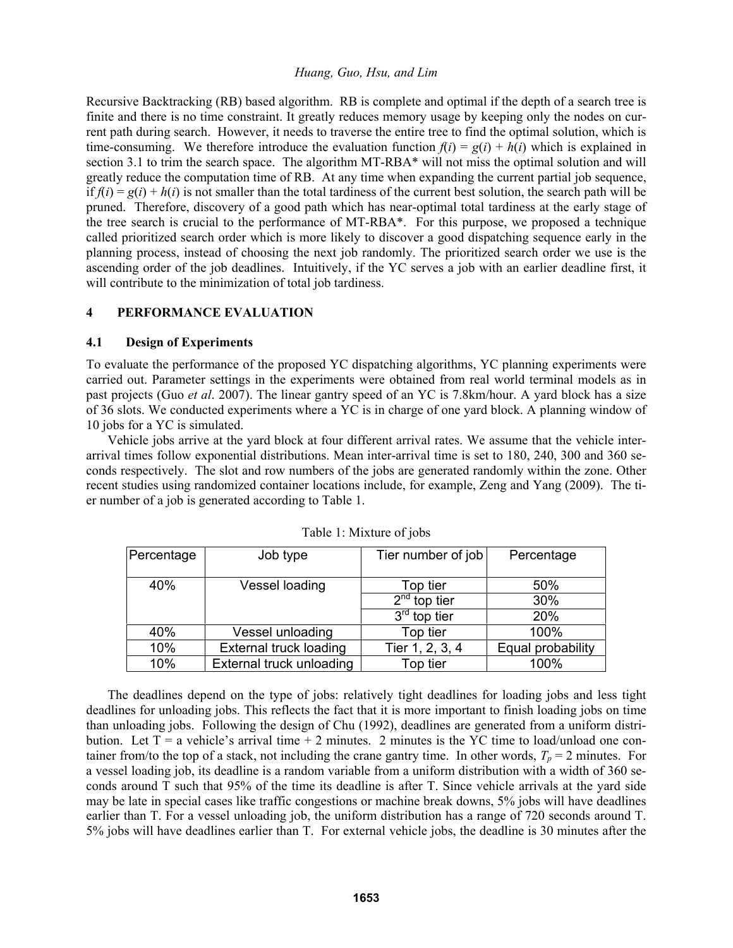Recursive Backtracking (RB) based algorithm. RB is complete and optimal if the depth of a search tree is finite and there is no time constraint. It greatly reduces memory usage by keeping only the nodes on current path during search. However, it needs to traverse the entire tree to find the optimal solution, which is time-consuming. We therefore introduce the evaluation function  $f(i) = g(i) + h(i)$  which is explained in section 3.1 to trim the search space. The algorithm MT-RBA\* will not miss the optimal solution and will greatly reduce the computation time of RB. At any time when expanding the current partial job sequence, if  $f(i) = g(i) + h(i)$  is not smaller than the total tardiness of the current best solution, the search path will be pruned. Therefore, discovery of a good path which has near-optimal total tardiness at the early stage of the tree search is crucial to the performance of MT-RBA\*. For this purpose, we proposed a technique called prioritized search order which is more likely to discover a good dispatching sequence early in the planning process, instead of choosing the next job randomly. The prioritized search order we use is the ascending order of the job deadlines. Intuitively, if the YC serves a job with an earlier deadline first, it will contribute to the minimization of total job tardiness.

## **4 PERFORMANCE EVALUATION**

### **4.1 Design of Experiments**

To evaluate the performance of the proposed YC dispatching algorithms, YC planning experiments were carried out. Parameter settings in the experiments were obtained from real world terminal models as in past projects (Guo *et al*. 2007). The linear gantry speed of an YC is 7.8km/hour. A yard block has a size of 36 slots. We conducted experiments where a YC is in charge of one yard block. A planning window of 10 jobs for a YC is simulated.

Vehicle jobs arrive at the yard block at four different arrival rates. We assume that the vehicle interarrival times follow exponential distributions. Mean inter-arrival time is set to 180, 240, 300 and 360 seconds respectively. The slot and row numbers of the jobs are generated randomly within the zone. Other recent studies using randomized container locations include, for example, Zeng and Yang (2009). The tier number of a job is generated according to Table 1.

| Percentage | Job type                      | Tier number of job | Percentage        |
|------------|-------------------------------|--------------------|-------------------|
| 40%        | Vessel loading                | Top tier           | 50%               |
|            |                               | $2^{nd}$ top tier  | 30%               |
|            |                               | $3rd$ top tier     | 20%               |
| 40%        | Vessel unloading              | Top tier           | 100%              |
| 10%        | <b>External truck loading</b> | Tier 1, 2, 3, 4    | Equal probability |
| 10%        | External truck unloading      | Top tier           | 100%              |

Table 1: Mixture of jobs

The deadlines depend on the type of jobs: relatively tight deadlines for loading jobs and less tight deadlines for unloading jobs. This reflects the fact that it is more important to finish loading jobs on time than unloading jobs. Following the design of Chu (1992), deadlines are generated from a uniform distribution. Let  $T = a$  vehicle's arrival time  $+ 2$  minutes. 2 minutes is the YC time to load/unload one container from/to the top of a stack, not including the crane gantry time. In other words,  $T_p = 2$  minutes. For a vessel loading job, its deadline is a random variable from a uniform distribution with a width of 360 seconds around T such that 95% of the time its deadline is after T. Since vehicle arrivals at the yard side may be late in special cases like traffic congestions or machine break downs, 5% jobs will have deadlines earlier than T. For a vessel unloading job, the uniform distribution has a range of 720 seconds around T. 5% jobs will have deadlines earlier than T. For external vehicle jobs, the deadline is 30 minutes after the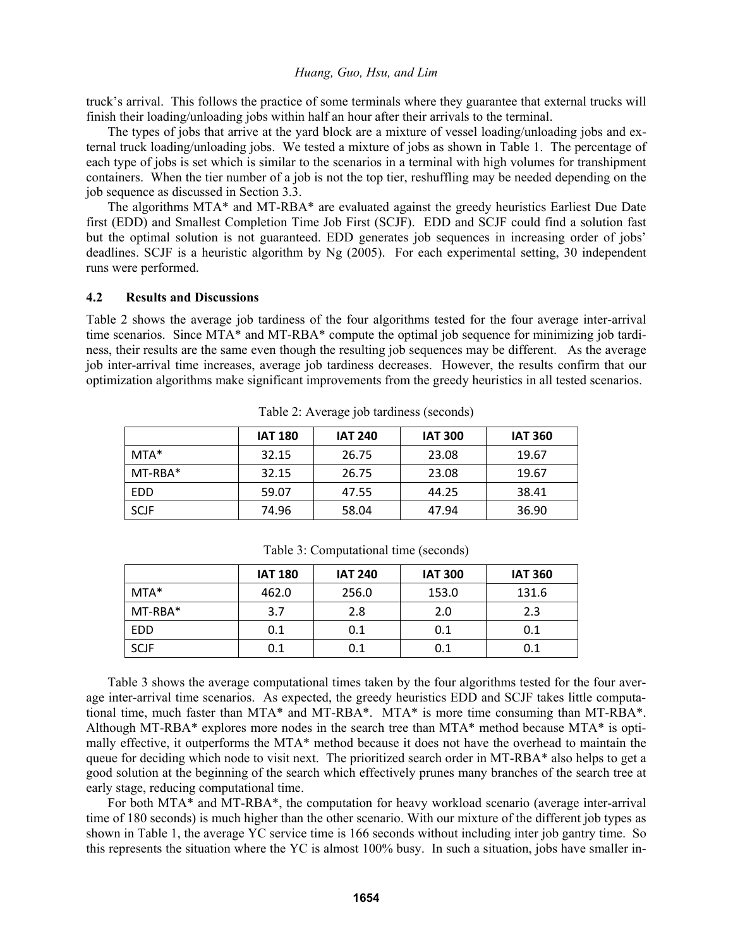truck's arrival. This follows the practice of some terminals where they guarantee that external trucks will finish their loading/unloading jobs within half an hour after their arrivals to the terminal.

The types of jobs that arrive at the yard block are a mixture of vessel loading/unloading jobs and external truck loading/unloading jobs. We tested a mixture of jobs as shown in Table 1. The percentage of each type of jobs is set which is similar to the scenarios in a terminal with high volumes for transhipment containers. When the tier number of a job is not the top tier, reshuffling may be needed depending on the job sequence as discussed in Section 3.3.

The algorithms MTA\* and MT-RBA\* are evaluated against the greedy heuristics Earliest Due Date first (EDD) and Smallest Completion Time Job First (SCJF). EDD and SCJF could find a solution fast but the optimal solution is not guaranteed. EDD generates job sequences in increasing order of jobs' deadlines. SCJF is a heuristic algorithm by Ng (2005). For each experimental setting, 30 independent runs were performed.

### **4.2 Results and Discussions**

Table 2 shows the average job tardiness of the four algorithms tested for the four average inter-arrival time scenarios. Since MTA\* and MT-RBA\* compute the optimal job sequence for minimizing job tardiness, their results are the same even though the resulting job sequences may be different. As the average job inter-arrival time increases, average job tardiness decreases. However, the results confirm that our optimization algorithms make significant improvements from the greedy heuristics in all tested scenarios.

|             | <b>IAT 180</b> | <b>IAT 240</b> | <b>IAT 300</b> | <b>IAT 360</b> |
|-------------|----------------|----------------|----------------|----------------|
| $MTA*$      | 32.15          | 26.75          | 23.08          | 19.67          |
| $MT-RBA*$   | 32.15          | 26.75          | 23.08          | 19.67          |
| <b>FDD</b>  | 59.07          | 47.55          | 44.25          | 38.41          |
| <b>SCJF</b> | 74.96          | 58.04          | 47.94          | 36.90          |

Table 2: Average job tardiness (seconds)

|             | <b>IAT 180</b> | <b>IAT 240</b> | <b>IAT 300</b> | <b>IAT 360</b> |
|-------------|----------------|----------------|----------------|----------------|
| $MTA*$      | 462.0          | 256.0          | 153.0          | 131.6          |
| $MT-RBA*$   | 3.7            | 2.8            | 2.0            | 2.3            |
| EDD         | 0.1            | 0.1            | 0.1            | 0.1            |
| <b>SCJF</b> | 0.1            | 0.1            | 0.1            | 0.1            |

Table 3: Computational time (seconds)

Table 3 shows the average computational times taken by the four algorithms tested for the four average inter-arrival time scenarios. As expected, the greedy heuristics EDD and SCJF takes little computational time, much faster than MTA\* and MT-RBA\*. MTA\* is more time consuming than MT-RBA\*. Although MT-RBA\* explores more nodes in the search tree than MTA\* method because MTA\* is optimally effective, it outperforms the MTA\* method because it does not have the overhead to maintain the queue for deciding which node to visit next. The prioritized search order in MT-RBA\* also helps to get a good solution at the beginning of the search which effectively prunes many branches of the search tree at early stage, reducing computational time.

For both MTA\* and MT-RBA\*, the computation for heavy workload scenario (average inter-arrival time of 180 seconds) is much higher than the other scenario. With our mixture of the different job types as shown in Table 1, the average YC service time is 166 seconds without including inter job gantry time. So this represents the situation where the YC is almost 100% busy. In such a situation, jobs have smaller in-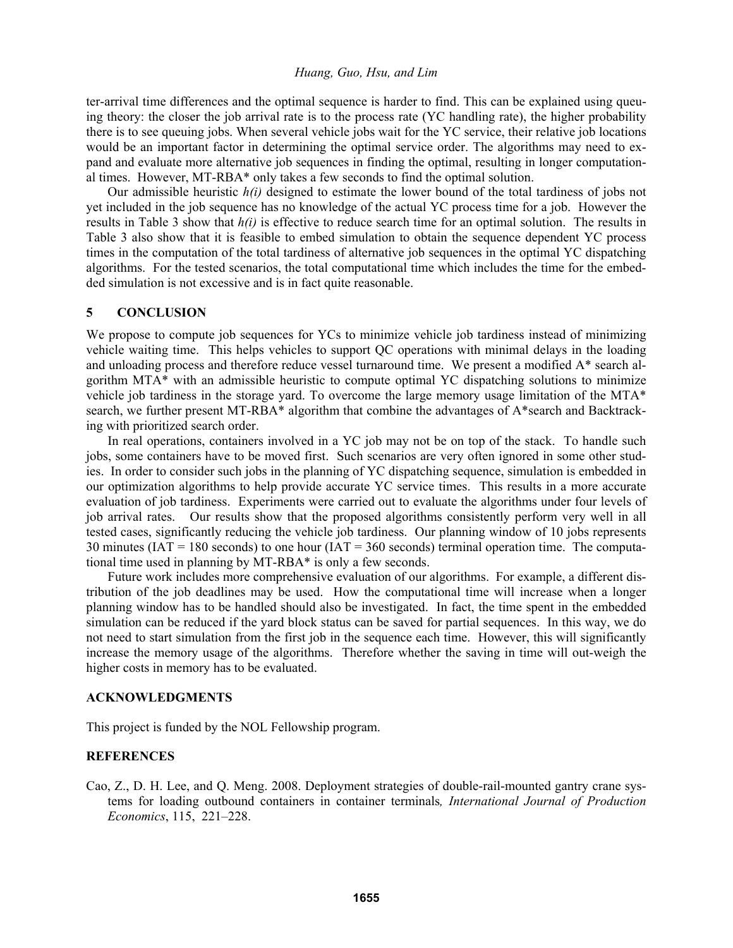ter-arrival time differences and the optimal sequence is harder to find. This can be explained using queuing theory: the closer the job arrival rate is to the process rate (YC handling rate), the higher probability there is to see queuing jobs. When several vehicle jobs wait for the YC service, their relative job locations would be an important factor in determining the optimal service order. The algorithms may need to expand and evaluate more alternative job sequences in finding the optimal, resulting in longer computational times. However, MT-RBA\* only takes a few seconds to find the optimal solution.

Our admissible heuristic *h(i)* designed to estimate the lower bound of the total tardiness of jobs not yet included in the job sequence has no knowledge of the actual YC process time for a job. However the results in Table 3 show that *h(i)* is effective to reduce search time for an optimal solution. The results in Table 3 also show that it is feasible to embed simulation to obtain the sequence dependent YC process times in the computation of the total tardiness of alternative job sequences in the optimal YC dispatching algorithms. For the tested scenarios, the total computational time which includes the time for the embedded simulation is not excessive and is in fact quite reasonable.

### **5 CONCLUSION**

We propose to compute job sequences for YCs to minimize vehicle job tardiness instead of minimizing vehicle waiting time. This helps vehicles to support QC operations with minimal delays in the loading and unloading process and therefore reduce vessel turnaround time. We present a modified A\* search algorithm MTA\* with an admissible heuristic to compute optimal YC dispatching solutions to minimize vehicle job tardiness in the storage yard. To overcome the large memory usage limitation of the MTA\* search, we further present MT-RBA\* algorithm that combine the advantages of A\*search and Backtracking with prioritized search order.

In real operations, containers involved in a YC job may not be on top of the stack. To handle such jobs, some containers have to be moved first. Such scenarios are very often ignored in some other studies. In order to consider such jobs in the planning of YC dispatching sequence, simulation is embedded in our optimization algorithms to help provide accurate YC service times. This results in a more accurate evaluation of job tardiness. Experiments were carried out to evaluate the algorithms under four levels of job arrival rates. Our results show that the proposed algorithms consistently perform very well in all tested cases, significantly reducing the vehicle job tardiness. Our planning window of 10 jobs represents 30 minutes ( $IAT = 180$  seconds) to one hour ( $IAT = 360$  seconds) terminal operation time. The computational time used in planning by MT-RBA\* is only a few seconds.

Future work includes more comprehensive evaluation of our algorithms. For example, a different distribution of the job deadlines may be used. How the computational time will increase when a longer planning window has to be handled should also be investigated. In fact, the time spent in the embedded simulation can be reduced if the yard block status can be saved for partial sequences. In this way, we do not need to start simulation from the first job in the sequence each time. However, this will significantly increase the memory usage of the algorithms. Therefore whether the saving in time will out-weigh the higher costs in memory has to be evaluated.

### **ACKNOWLEDGMENTS**

This project is funded by the NOL Fellowship program.

## **REFERENCES**

Cao, Z., D. H. Lee, and Q. Meng. 2008. Deployment strategies of double-rail-mounted gantry crane systems for loading outbound containers in container terminals*, International Journal of Production Economics*, 115, 221–228.